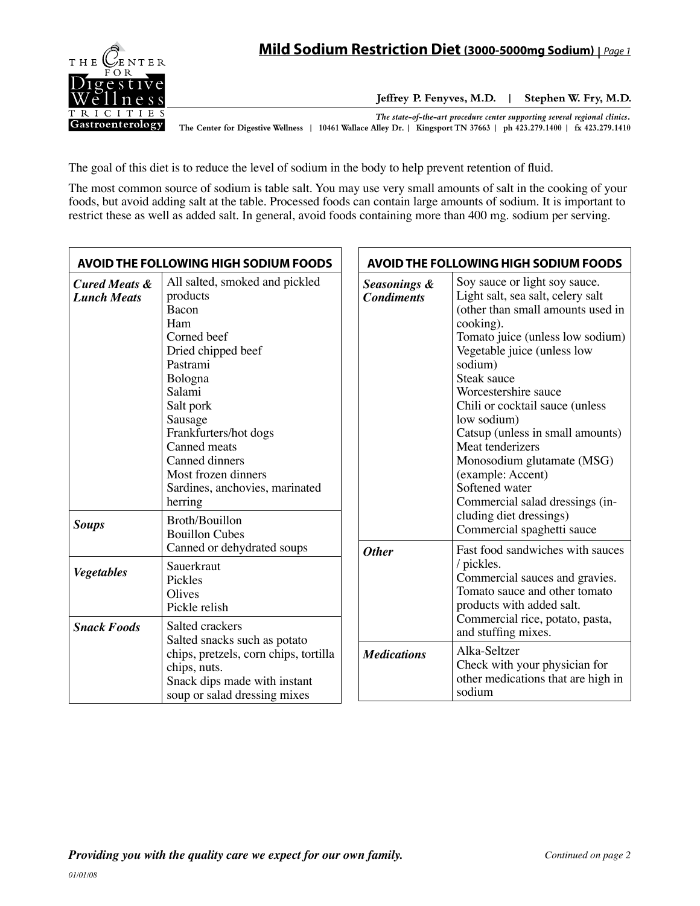

**Jeffrey P. Fenyves, M.D. | Stephen W. Fry, M.D.**

*The state-of-the-art procedure center supporting several regional clinics.*

**The Center for Digestive Wellness | 10461 Wallace Alley Dr. | Kingsport TN 37663 | ph 423.279.1400 | fx 423.279.1410**

The goal of this diet is to reduce the level of sodium in the body to help prevent retention of fluid.

The most common source of sodium is table salt. You may use very small amounts of salt in the cooking of your foods, but avoid adding salt at the table. Processed foods can contain large amounts of sodium. It is important to restrict these as well as added salt. In general, avoid foods containing more than 400 mg. sodium per serving.

| AVOID THE FOLLOWING HIGH SODIUM FOODS                                                                                 |                                                                                                                                                                                                                                                                                                                  | <b>AVOID THE FOLLOWING HIGH SODIUM FOODS</b>                                                  |                                                                                                                                                                                                                                                                                                                                                                                                                                                                                        |
|-----------------------------------------------------------------------------------------------------------------------|------------------------------------------------------------------------------------------------------------------------------------------------------------------------------------------------------------------------------------------------------------------------------------------------------------------|-----------------------------------------------------------------------------------------------|----------------------------------------------------------------------------------------------------------------------------------------------------------------------------------------------------------------------------------------------------------------------------------------------------------------------------------------------------------------------------------------------------------------------------------------------------------------------------------------|
| <b>Cured Meats &amp;</b><br><b>Lunch Meats</b>                                                                        | All salted, smoked and pickled<br>products<br>Bacon<br>Ham<br>Corned beef<br>Dried chipped beef<br>Pastrami<br>Bologna<br>Salami<br>Salt pork<br>Sausage<br>Frankfurters/hot dogs<br>Canned meats<br>Canned dinners<br>Most frozen dinners<br>Sardines, anchovies, marinated<br>herring<br><b>Broth/Bouillon</b> | <b>Seasonings &amp;</b><br><b>Condiments</b>                                                  | Soy sauce or light soy sauce.<br>Light salt, sea salt, celery salt<br>(other than small amounts used in<br>cooking).<br>Tomato juice (unless low sodium)<br>Vegetable juice (unless low<br>sodium)<br>Steak sauce<br>Worcestershire sauce<br>Chili or cocktail sauce (unless<br>low sodium)<br>Catsup (unless in small amounts)<br>Meat tenderizers<br>Monosodium glutamate (MSG)<br>(example: Accent)<br>Softened water<br>Commercial salad dressings (in-<br>cluding diet dressings) |
| <b>Soups</b>                                                                                                          | <b>Bouillon Cubes</b><br>Canned or dehydrated soups                                                                                                                                                                                                                                                              | <b>Other</b>                                                                                  | Commercial spaghetti sauce<br>Fast food sandwiches with sauces                                                                                                                                                                                                                                                                                                                                                                                                                         |
| <b>Vegetables</b>                                                                                                     | Sauerkraut<br>Pickles<br>Olives<br>Pickle relish                                                                                                                                                                                                                                                                 |                                                                                               | / pickles.<br>Commercial sauces and gravies.<br>Tomato sauce and other tomato<br>products with added salt.<br>Commercial rice, potato, pasta,<br>and stuffing mixes.                                                                                                                                                                                                                                                                                                                   |
| <b>Snack Foods</b>                                                                                                    | Salted crackers<br>Salted snacks such as potato                                                                                                                                                                                                                                                                  |                                                                                               |                                                                                                                                                                                                                                                                                                                                                                                                                                                                                        |
| chips, pretzels, corn chips, tortilla<br>chips, nuts.<br>Snack dips made with instant<br>soup or salad dressing mixes | <b>Medications</b>                                                                                                                                                                                                                                                                                               | Alka-Seltzer<br>Check with your physician for<br>other medications that are high in<br>sodium |                                                                                                                                                                                                                                                                                                                                                                                                                                                                                        |